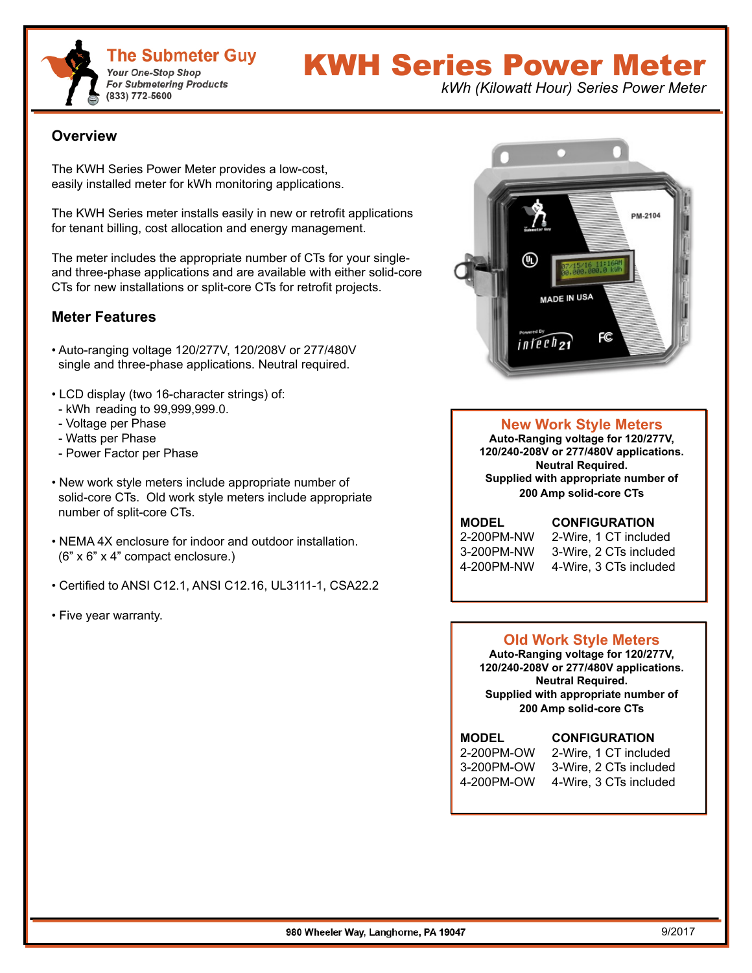

# KWH Series Power Meter

*kWh (Kilowatt Hour) Series Power Meter*

#### **Overview**

The KWH Series Power Meter provides a low-cost, easily installed meter for kWh monitoring applications.

The KWH Series meter installs easily in new or retrofit applications for tenant billing, cost allocation and energy management.

The meter includes the appropriate number of CTs for your singleand three-phase applications and are available with either solid-core CTs for new installations or split-core CTs for retrofit projects.

#### **Meter Features**

- Auto-ranging voltage 120/277V, 120/208V or 277/480V single and three-phase applications. Neutral required.
- LCD display (two 16-character strings) of:
- kWh reading to 99,999,999.0.
- Voltage per Phase
- Watts per Phase
- Power Factor per Phase
- New work style meters include appropriate number of solid-core CTs. Old work style meters include appropriate number of split-core CTs.
- NEMA 4X enclosure for indoor and outdoor installation. (6" x 6" x 4" compact enclosure.)
- Certified to ANSI C12.1, ANSI C12.16, UL3111-1, CSA22.2
- Five year warranty.



#### **New Work Style Meters**

**Auto-Ranging voltage for 120/277V, 120/240-208V or 277/480V applications. Neutral Required. Supplied with appropriate number of 200 Amp solid-core CTs**

**MODEL CONFIGURATION**

2-200PM-NW 2-Wire, 1 CT included 3-200PM-NW 3-Wire, 2 CTs included 4-200PM-NW 4-Wire, 3 CTs included

#### **Old Work Style Meters**

**Auto-Ranging voltage for 120/277V, 120/240-208V or 277/480V applications. Neutral Required. Supplied with appropriate number of 200 Amp solid-core CTs**

### **MODEL CONFIGURATION**

| 2-200PM-OW | 2-Wire, 1 CT included  |
|------------|------------------------|
| 3-200PM-OW | 3-Wire, 2 CTs included |
| 4-200PM-OW | 4-Wire, 3 CTs included |